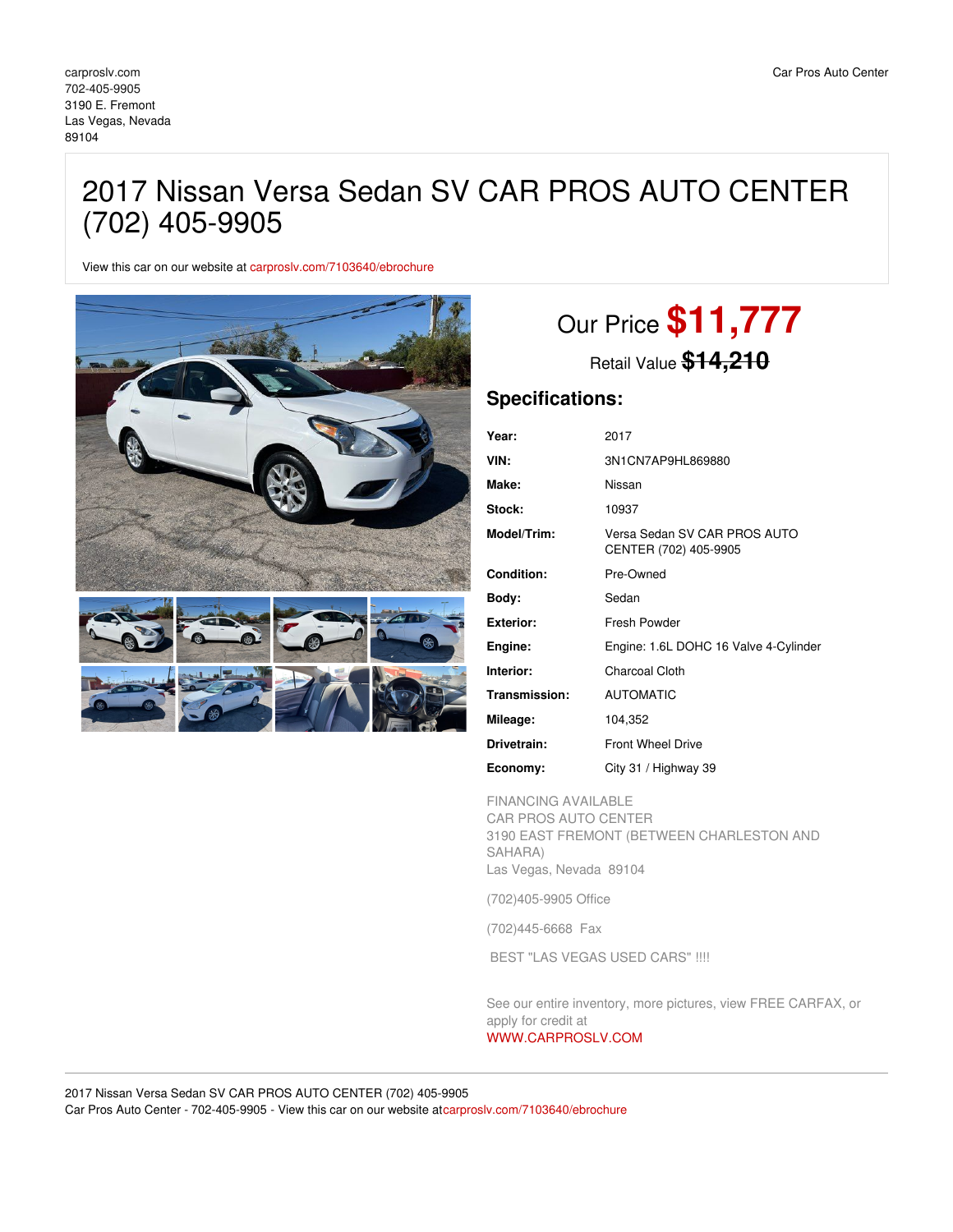## 2017 Nissan Versa Sedan SV CAR PROS AUTO CENTER (702) 405-9905

View this car on our website at [carproslv.com/7103640/ebrochure](https://carproslv.com/vehicle/7103640/2017-nissan-versa-sedan-sv-car-pros-auto-center-702-405-9905-las-vegas-nevada-89104/7103640/ebrochure)



# Our Price **\$11,777**

Retail Value **\$14,210**

### **Specifications:**

| Year:             | 2017                                                  |
|-------------------|-------------------------------------------------------|
| VIN:              | 3N1CN7AP9HL869880                                     |
| Make:             | Nissan                                                |
| Stock:            | 10937                                                 |
| Model/Trim:       | Versa Sedan SV CAR PROS AUTO<br>CENTER (702) 405-9905 |
| <b>Condition:</b> | Pre-Owned                                             |
| Body:             | Sedan                                                 |
| <b>Exterior:</b>  | Fresh Powder                                          |
| Engine:           | Engine: 1.6L DOHC 16 Valve 4-Cylinder                 |
| Interior:         | Charcoal Cloth                                        |
| Transmission:     | <b>AUTOMATIC</b>                                      |
| Mileage:          | 104,352                                               |
| Drivetrain:       | <b>Front Wheel Drive</b>                              |
| Economy:          | City 31 / Highway 39                                  |

FINANCING AVAILABLE

CAR PROS AUTO CENTER 3190 EAST FREMONT (BETWEEN CHARLESTON AND SAHARA) Las Vegas, Nevada 89104

(702)405-9905 Office

(702)445-6668 Fax

BEST "LAS VEGAS USED CARS" !!!!

See our entire inventory, more pictures, view FREE CARFAX, or apply for credit at [WWW.CARPROSLV.COM](http://www.carproslv.com)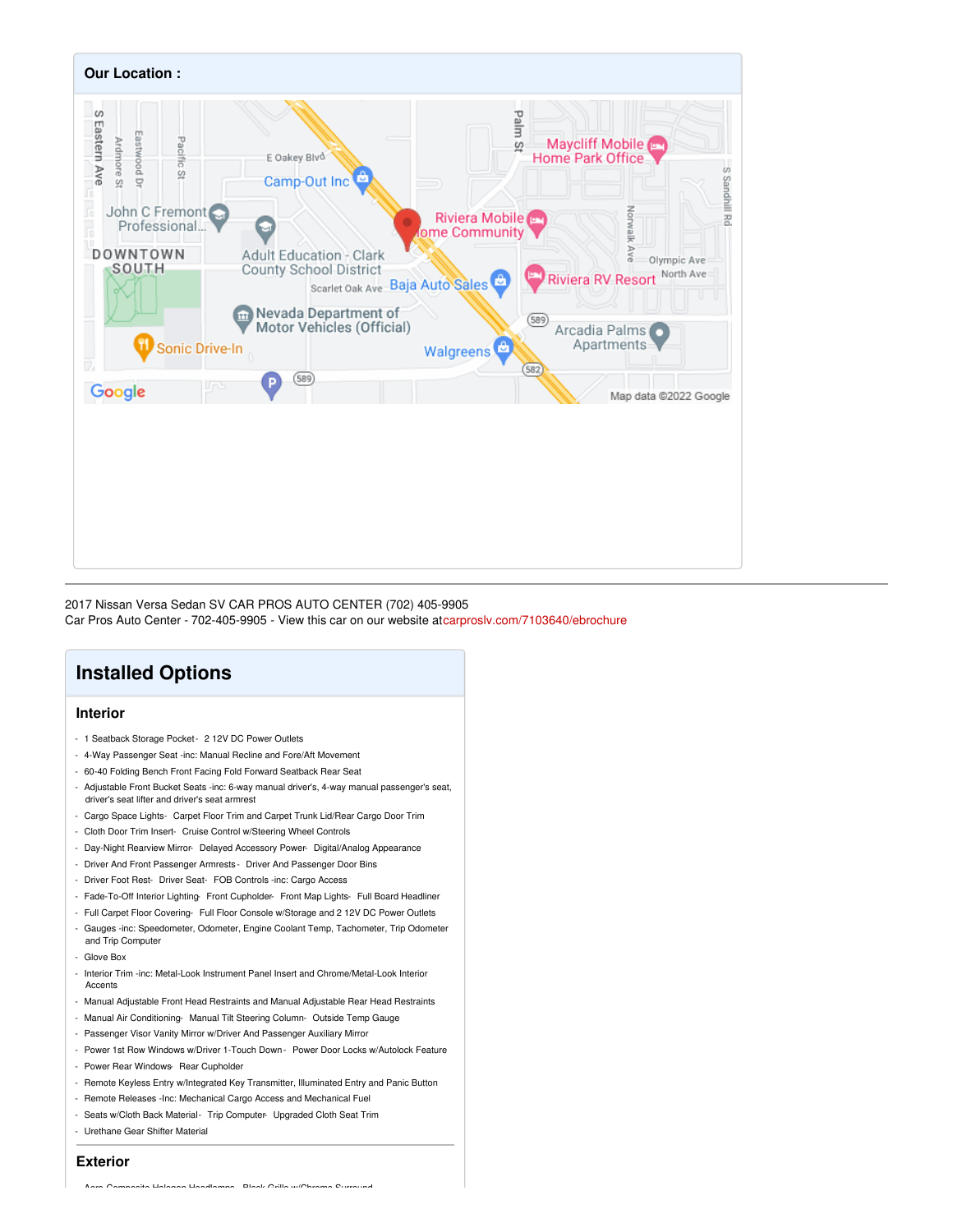

2017 Nissan Versa Sedan SV CAR PROS AUTO CENTER (702) 405-9905

Car Pros Auto Center - 702-405-9905 - View this car on our website a[tcarproslv.com/7103640/ebrochure](https://carproslv.com/vehicle/7103640/2017-nissan-versa-sedan-sv-car-pros-auto-center-702-405-9905-las-vegas-nevada-89104/7103640/ebrochure)

## **Installed Options**

#### **Interior**

- 1 Seatback Storage Pocket 2 12V DC Power Outlets
- 4-Way Passenger Seat -inc: Manual Recline and Fore/Aft Movement
- 60-40 Folding Bench Front Facing Fold Forward Seatback Rear Seat
- Adjustable Front Bucket Seats -inc: 6-way manual driver's, 4-way manual passenger's seat, driver's seat lifter and driver's seat armrest
- Cargo Space Lights- Carpet Floor Trim and Carpet Trunk Lid/Rear Cargo Door Trim
- Cloth Door Trim Insert- Cruise Control w/Steering Wheel Controls
- Day-Night Rearview Mirror- Delayed Accessory Power- Digital/Analog Appearance
- Driver And Front Passenger Armrests Driver And Passenger Door Bins
- Driver Foot Rest- Driver Seat- FOB Controls -inc: Cargo Access
- Fade-To-Off Interior Lighting- Front Cupholder- Front Map Lights- Full Board Headliner
- Full Carpet Floor Covering- Full Floor Console w/Storage and 2 12V DC Power Outlets
- Gauges -inc: Speedometer, Odometer, Engine Coolant Temp, Tachometer, Trip Odometer and Trip Computer
- Glove Box
- Interior Trim -inc: Metal-Look Instrument Panel Insert and Chrome/Metal-Look Interior Accents
- Manual Adjustable Front Head Restraints and Manual Adjustable Rear Head Restraints
- Manual Air Conditioning- Manual Tilt Steering Column- Outside Temp Gauge
- Passenger Visor Vanity Mirror w/Driver And Passenger Auxiliary Mirror
- Power 1st Row Windows w/Driver 1-Touch Down Power Door Locks w/Autolock Feature
- Power Rear Windows- Rear Cupholder
- Remote Keyless Entry w/Integrated Key Transmitter, Illuminated Entry and Panic Button
- Remote Releases -Inc: Mechanical Cargo Access and Mechanical Fuel
- Seats w/Cloth Back Material- Trip Computer- Upgraded Cloth Seat Trim
- Urethane Gear Shifter Material

#### **Exterior**

- Aero-Composite Halogen Headlamps- Black Grille w/Chrome Surround